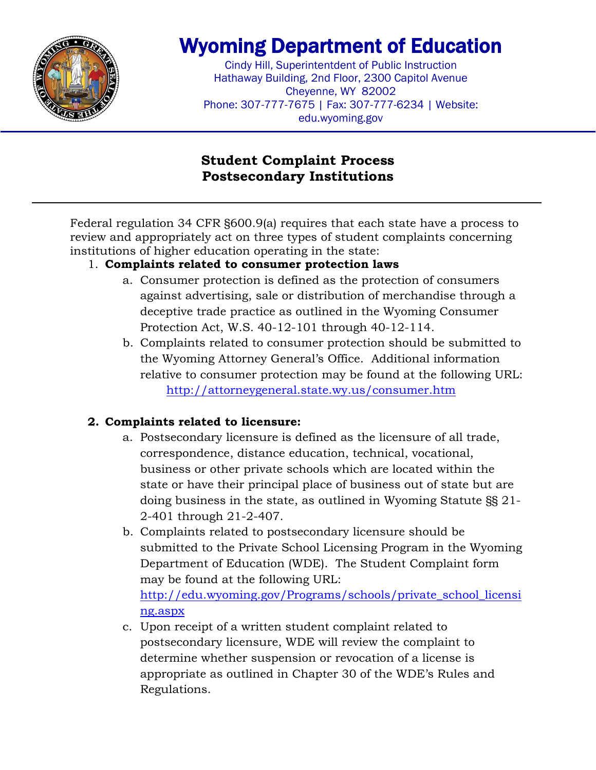

# Wyoming Department of Education

Cindy Hill, Superintentdent of Public Instruction Hathaway Building, 2nd Floor, 2300 Capitol Avenue Cheyenne, WY 82002 Phone: 307-777-7675 | Fax: 307-777-6234 | Website: edu.wyoming.gov

## **Student Complaint Process Postsecondary Institutions**

Federal regulation 34 CFR §600.9(a) requires that each state have a process to review and appropriately act on three types of student complaints concerning institutions of higher education operating in the state:

### 1. **Complaints related to consumer protection laws**

- a. Consumer protection is defined as the protection of consumers against advertising, sale or distribution of merchandise through a deceptive trade practice as outlined in the Wyoming Consumer Protection Act, W.S. 40-12-101 through 40-12-114.
- b. Complaints related to consumer protection should be submitted to the Wyoming Attorney General's Office. Additional information relative to consumer protection may be found at the following URL: <http://attorneygeneral.state.wy.us/consumer.htm>

### **2. Complaints related to licensure:**

- a. Postsecondary licensure is defined as the licensure of all trade, correspondence, distance education, technical, vocational, business or other private schools which are located within the state or have their principal place of business out of state but are doing business in the state, as outlined in Wyoming Statute §§ 21- 2-401 through 21-2-407.
- b. Complaints related to postsecondary licensure should be submitted to the Private School Licensing Program in the Wyoming Department of Education (WDE). The Student Complaint form may be found at the following URL: [http://edu.wyoming.gov/Programs/schools/private\\_school\\_licensi](http://edu.wyoming.gov/Programs/schools/private_school_licensing.aspx) [ng.aspx](http://edu.wyoming.gov/Programs/schools/private_school_licensing.aspx)
- c. Upon receipt of a written student complaint related to postsecondary licensure, WDE will review the complaint to determine whether suspension or revocation of a license is appropriate as outlined in Chapter 30 of the WDE's Rules and Regulations.